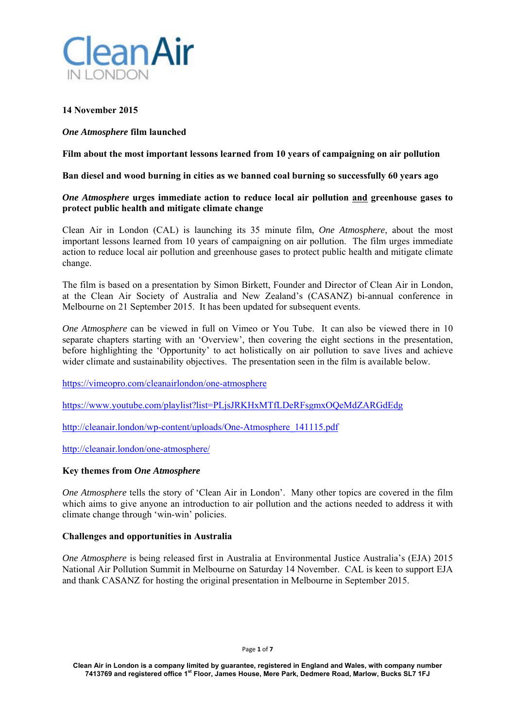

# **14 November 2015**

# *One Atmosphere* **film launched**

**Film about the most important lessons learned from 10 years of campaigning on air pollution** 

### **Ban diesel and wood burning in cities as we banned coal burning so successfully 60 years ago**

### *One Atmosphere* **urges immediate action to reduce local air pollution and greenhouse gases to protect public health and mitigate climate change**

Clean Air in London (CAL) is launching its 35 minute film, *One Atmosphere*, about the most important lessons learned from 10 years of campaigning on air pollution. The film urges immediate action to reduce local air pollution and greenhouse gases to protect public health and mitigate climate change.

The film is based on a presentation by Simon Birkett, Founder and Director of Clean Air in London, at the Clean Air Society of Australia and New Zealand's (CASANZ) bi-annual conference in Melbourne on 21 September 2015. It has been updated for subsequent events.

*One Atmosphere* can be viewed in full on Vimeo or You Tube. It can also be viewed there in 10 separate chapters starting with an 'Overview', then covering the eight sections in the presentation, before highlighting the 'Opportunity' to act holistically on air pollution to save lives and achieve wider climate and sustainability objectives. The presentation seen in the film is available below.

https://vimeopro.com/cleanairlondon/one-atmosphere

https://www.youtube.com/playlist?list=PLjsJRKHxMTfLDeRFsgmxOQeMdZARGdEdg

http://cleanair.london/wp-content/uploads/One-Atmosphere\_141115.pdf

http://cleanair.london/one-atmosphere/

# **Key themes from** *One Atmosphere*

*One Atmosphere* tells the story of 'Clean Air in London'. Many other topics are covered in the film which aims to give anyone an introduction to air pollution and the actions needed to address it with climate change through 'win-win' policies.

# **Challenges and opportunities in Australia**

*One Atmosphere* is being released first in Australia at Environmental Justice Australia's (EJA) 2015 National Air Pollution Summit in Melbourne on Saturday 14 November. CAL is keen to support EJA and thank CASANZ for hosting the original presentation in Melbourne in September 2015.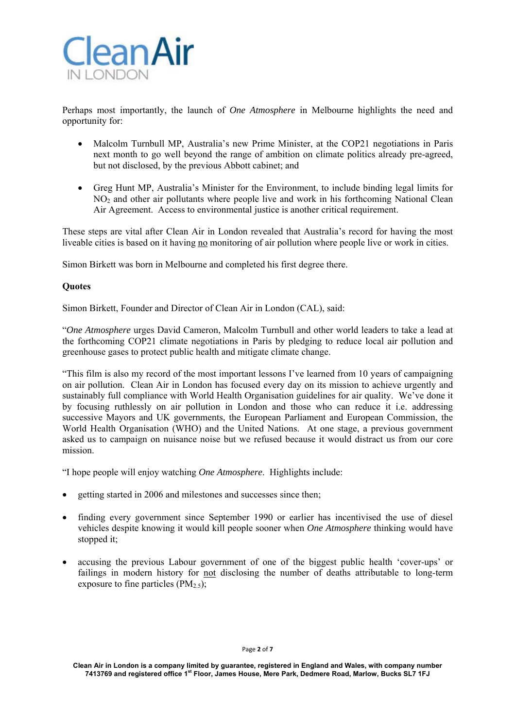

Perhaps most importantly, the launch of *One Atmosphere* in Melbourne highlights the need and opportunity for:

- Malcolm Turnbull MP, Australia's new Prime Minister, at the COP21 negotiations in Paris next month to go well beyond the range of ambition on climate politics already pre-agreed, but not disclosed, by the previous Abbott cabinet; and
- Greg Hunt MP, Australia's Minister for the Environment, to include binding legal limits for NO2 and other air pollutants where people live and work in his forthcoming National Clean Air Agreement. Access to environmental justice is another critical requirement.

These steps are vital after Clean Air in London revealed that Australia's record for having the most liveable cities is based on it having no monitoring of air pollution where people live or work in cities.

Simon Birkett was born in Melbourne and completed his first degree there.

# **Quotes**

Simon Birkett, Founder and Director of Clean Air in London (CAL), said:

"*One Atmosphere* urges David Cameron, Malcolm Turnbull and other world leaders to take a lead at the forthcoming COP21 climate negotiations in Paris by pledging to reduce local air pollution and greenhouse gases to protect public health and mitigate climate change.

"This film is also my record of the most important lessons I've learned from 10 years of campaigning on air pollution. Clean Air in London has focused every day on its mission to achieve urgently and sustainably full compliance with World Health Organisation guidelines for air quality. We've done it by focusing ruthlessly on air pollution in London and those who can reduce it i.e. addressing successive Mayors and UK governments, the European Parliament and European Commission, the World Health Organisation (WHO) and the United Nations. At one stage, a previous government asked us to campaign on nuisance noise but we refused because it would distract us from our core mission.

"I hope people will enjoy watching *One Atmosphere*. Highlights include:

- getting started in 2006 and milestones and successes since then;
- finding every government since September 1990 or earlier has incentivised the use of diesel vehicles despite knowing it would kill people sooner when *One Atmosphere* thinking would have stopped it;
- accusing the previous Labour government of one of the biggest public health 'cover-ups' or failings in modern history for not disclosing the number of deaths attributable to long-term exposure to fine particles  $(PM_2, \xi)$ ;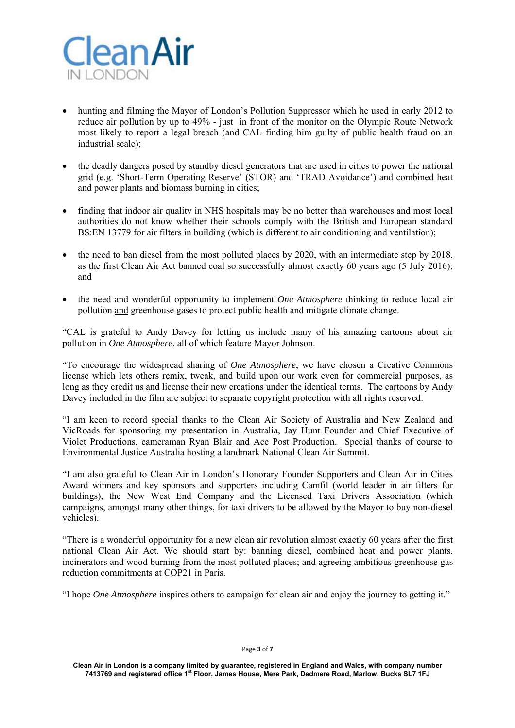

- hunting and filming the Mayor of London's Pollution Suppressor which he used in early 2012 to reduce air pollution by up to 49% - just in front of the monitor on the Olympic Route Network most likely to report a legal breach (and CAL finding him guilty of public health fraud on an industrial scale);
- the deadly dangers posed by standby diesel generators that are used in cities to power the national grid (e.g. 'Short-Term Operating Reserve' (STOR) and 'TRAD Avoidance') and combined heat and power plants and biomass burning in cities;
- finding that indoor air quality in NHS hospitals may be no better than warehouses and most local authorities do not know whether their schools comply with the British and European standard BS:EN 13779 for air filters in building (which is different to air conditioning and ventilation);
- $\bullet$  the need to ban diesel from the most polluted places by 2020, with an intermediate step by 2018, as the first Clean Air Act banned coal so successfully almost exactly 60 years ago (5 July 2016); and
- the need and wonderful opportunity to implement *One Atmosphere* thinking to reduce local air pollution and greenhouse gases to protect public health and mitigate climate change.

"CAL is grateful to Andy Davey for letting us include many of his amazing cartoons about air pollution in *One Atmosphere*, all of which feature Mayor Johnson.

"To encourage the widespread sharing of *One Atmosphere*, we have chosen a Creative Commons license which lets others remix, tweak, and build upon our work even for commercial purposes, as long as they credit us and license their new creations under the identical terms. The cartoons by Andy Davey included in the film are subject to separate copyright protection with all rights reserved.

"I am keen to record special thanks to the Clean Air Society of Australia and New Zealand and VicRoads for sponsoring my presentation in Australia, Jay Hunt Founder and Chief Executive of Violet Productions, cameraman Ryan Blair and Ace Post Production. Special thanks of course to Environmental Justice Australia hosting a landmark National Clean Air Summit.

"I am also grateful to Clean Air in London's Honorary Founder Supporters and Clean Air in Cities Award winners and key sponsors and supporters including Camfil (world leader in air filters for buildings), the New West End Company and the Licensed Taxi Drivers Association (which campaigns, amongst many other things, for taxi drivers to be allowed by the Mayor to buy non-diesel vehicles).

"There is a wonderful opportunity for a new clean air revolution almost exactly 60 years after the first national Clean Air Act. We should start by: banning diesel, combined heat and power plants, incinerators and wood burning from the most polluted places; and agreeing ambitious greenhouse gas reduction commitments at COP21 in Paris.

"I hope *One Atmosphere* inspires others to campaign for clean air and enjoy the journey to getting it."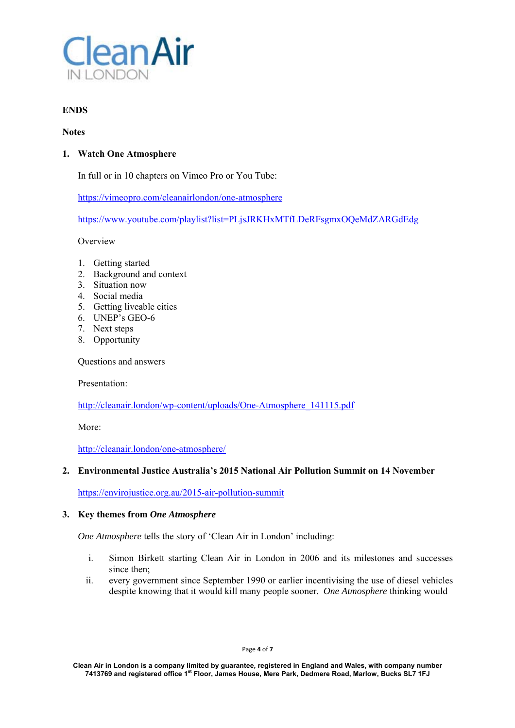

# **ENDS**

### **Notes**

# **1. Watch One Atmosphere**

In full or in 10 chapters on Vimeo Pro or You Tube:

https://vimeopro.com/cleanairlondon/one-atmosphere

https://www.youtube.com/playlist?list=PLjsJRKHxMTfLDeRFsgmxOQeMdZARGdEdg

Overview

- 1. Getting started
- 2. Background and context
- 3. Situation now
- 4. Social media
- 5. Getting liveable cities
- 6. UNEP's GEO-6
- 7. Next steps
- 8. Opportunity

Questions and answers

Presentation:

http://cleanair.london/wp-content/uploads/One-Atmosphere\_141115.pdf

More:

http://cleanair.london/one-atmosphere/

# **2. Environmental Justice Australia's 2015 National Air Pollution Summit on 14 November**

https://envirojustice.org.au/2015-air-pollution-summit

# **3. Key themes from** *One Atmosphere*

*One Atmosphere* tells the story of 'Clean Air in London' including:

- i. Simon Birkett starting Clean Air in London in 2006 and its milestones and successes since then;
- ii. every government since September 1990 or earlier incentivising the use of diesel vehicles despite knowing that it would kill many people sooner. *One Atmosphere* thinking would

Page **4** of **7**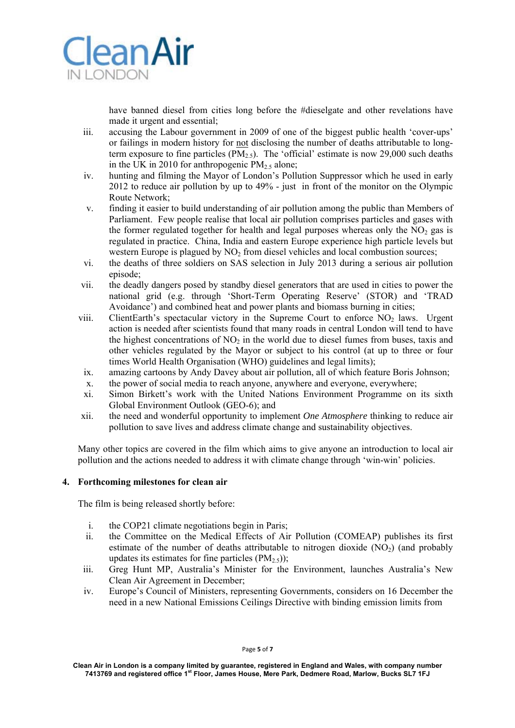

have banned diesel from cities long before the #dieselgate and other revelations have made it urgent and essential;

- iii. accusing the Labour government in 2009 of one of the biggest public health 'cover-ups' or failings in modern history for not disclosing the number of deaths attributable to longterm exposure to fine particles  $(PM<sub>2.5</sub>)$ . The 'official' estimate is now 29,000 such deaths in the UK in 2010 for anthropogenic  $PM_{2.5}$  alone;
- iv. hunting and filming the Mayor of London's Pollution Suppressor which he used in early 2012 to reduce air pollution by up to 49% - just in front of the monitor on the Olympic Route Network;
- v. finding it easier to build understanding of air pollution among the public than Members of Parliament. Few people realise that local air pollution comprises particles and gases with the former regulated together for health and legal purposes whereas only the  $NO<sub>2</sub>$  gas is regulated in practice. China, India and eastern Europe experience high particle levels but western Europe is plagued by  $NO<sub>2</sub>$  from diesel vehicles and local combustion sources;
- vi. the deaths of three soldiers on SAS selection in July 2013 during a serious air pollution episode;
- vii. the deadly dangers posed by standby diesel generators that are used in cities to power the national grid (e.g. through 'Short-Term Operating Reserve' (STOR) and 'TRAD Avoidance') and combined heat and power plants and biomass burning in cities;
- viii. ClientEarth's spectacular victory in the Supreme Court to enforce  $NO<sub>2</sub>$  laws. Urgent action is needed after scientists found that many roads in central London will tend to have the highest concentrations of  $NO<sub>2</sub>$  in the world due to diesel fumes from buses, taxis and other vehicles regulated by the Mayor or subject to his control (at up to three or four times World Health Organisation (WHO) guidelines and legal limits);
- ix. amazing cartoons by Andy Davey about air pollution, all of which feature Boris Johnson;
- x. the power of social media to reach anyone, anywhere and everyone, everywhere;
- xi. Simon Birkett's work with the United Nations Environment Programme on its sixth Global Environment Outlook (GEO-6); and
- xii. the need and wonderful opportunity to implement *One Atmosphere* thinking to reduce air pollution to save lives and address climate change and sustainability objectives.

Many other topics are covered in the film which aims to give anyone an introduction to local air pollution and the actions needed to address it with climate change through 'win-win' policies.

#### **4. Forthcoming milestones for clean air**

The film is being released shortly before:

- i. the COP21 climate negotiations begin in Paris;
- ii. the Committee on the Medical Effects of Air Pollution (COMEAP) publishes its first estimate of the number of deaths attributable to nitrogen dioxide  $(NO<sub>2</sub>)$  (and probably updates its estimates for fine particles  $(PM_{2.5})$ ;
- iii. Greg Hunt MP, Australia's Minister for the Environment, launches Australia's New Clean Air Agreement in December;
- iv. Europe's Council of Ministers, representing Governments, considers on 16 December the need in a new National Emissions Ceilings Directive with binding emission limits from

**Clean Air in London is a company limited by guarantee, registered in England and Wales, with company number 7413769 and registered office 1st Floor, James House, Mere Park, Dedmere Road, Marlow, Bucks SL7 1FJ**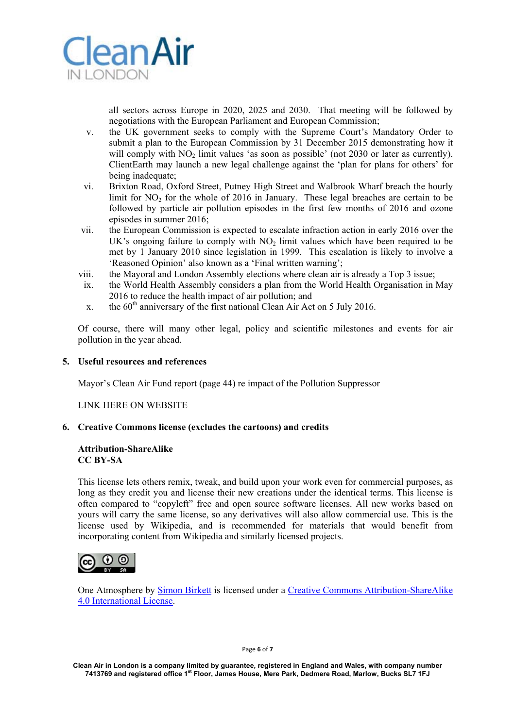

all sectors across Europe in 2020, 2025 and 2030. That meeting will be followed by negotiations with the European Parliament and European Commission;

- v. the UK government seeks to comply with the Supreme Court's Mandatory Order to submit a plan to the European Commission by 31 December 2015 demonstrating how it will comply with  $NO<sub>2</sub>$  limit values 'as soon as possible' (not 2030 or later as currently). ClientEarth may launch a new legal challenge against the 'plan for plans for others' for being inadequate;
- vi. Brixton Road, Oxford Street, Putney High Street and Walbrook Wharf breach the hourly limit for  $NO<sub>2</sub>$  for the whole of 2016 in January. These legal breaches are certain to be followed by particle air pollution episodes in the first few months of 2016 and ozone episodes in summer 2016;
- vii. the European Commission is expected to escalate infraction action in early 2016 over the UK's ongoing failure to comply with  $NO<sub>2</sub>$  limit values which have been required to be met by 1 January 2010 since legislation in 1999. This escalation is likely to involve a 'Reasoned Opinion' also known as a 'Final written warning';
- viii. the Mayoral and London Assembly elections where clean air is already a Top 3 issue;
- ix. the World Health Assembly considers a plan from the World Health Organisation in May 2016 to reduce the health impact of air pollution; and
- x. the  $60<sup>th</sup>$  anniversary of the first national Clean Air Act on 5 July 2016.

Of course, there will many other legal, policy and scientific milestones and events for air pollution in the year ahead.

### **5. Useful resources and references**

Mayor's Clean Air Fund report (page 44) re impact of the Pollution Suppressor

LINK HERE ON WEBSITE

#### **6. Creative Commons license (excludes the cartoons) and credits**

#### **Attribution-ShareAlike CC BY-SA**

This license lets others remix, tweak, and build upon your work even for commercial purposes, as long as they credit you and license their new creations under the identical terms. This license is often compared to "copyleft" free and open source software licenses. All new works based on yours will carry the same license, so any derivatives will also allow commercial use. This is the license used by Wikipedia, and is recommended for materials that would benefit from incorporating content from Wikipedia and similarly licensed projects.



One Atmosphere by Simon Birkett is licensed under a Creative Commons Attribution-ShareAlike 4.0 International License.

Page **6** of **7** 

**Clean Air in London is a company limited by guarantee, registered in England and Wales, with company number 7413769 and registered office 1st Floor, James House, Mere Park, Dedmere Road, Marlow, Bucks SL7 1FJ**